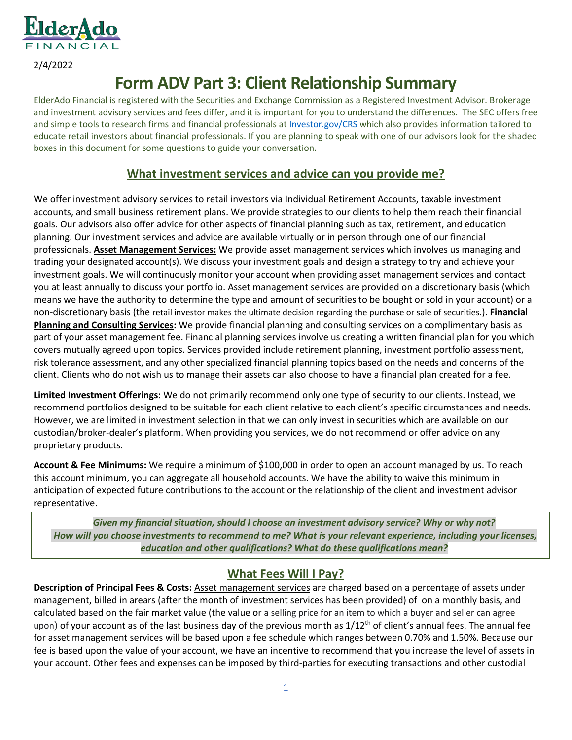

2/4/2022

# **Form ADV Part 3: Client Relationship Summary**

ElderAdo Financial is registered with the Securities and Exchange Commission as a Registered Investment Advisor. Brokerage and investment advisory services and fees differ, and it is important for you to understand the differences. The SEC offers free and simple tools to research firms and financial professionals a[t Investor.gov/CRS](https://www.investor.gov/CRS) which also provides information tailored to educate retail investors about financial professionals. If you are planning to speak with one of our advisors look for the shaded boxes in this document for some questions to guide your conversation.

# **What investment services and advice can you provide me?**

We offer investment advisory services to retail investors via Individual Retirement Accounts, taxable investment accounts, and small business retirement plans. We provide strategies to our clients to help them reach their financial goals. Our advisors also offer advice for other aspects of financial planning such as tax, retirement, and education planning. Our investment services and advice are available virtually or in person through one of our financial professionals. **Asset Management Services:** We provide asset management services which involves us managing and trading your designated account(s). We discuss your investment goals and design a strategy to try and achieve your investment goals. We will continuously monitor your account when providing asset management services and contact you at least annually to discuss your portfolio. Asset management services are provided on a discretionary basis (which means we have the authority to determine the type and amount of securities to be bought or sold in your account) or a non-discretionary basis (the retail investor makes the ultimate decision regarding the purchase or sale of securities.). **Financial Planning and Consulting Services:** We provide financial planning and consulting services on a complimentary basis as part of your asset management fee. Financial planning services involve us creating a written financial plan for you which covers mutually agreed upon topics. Services provided include retirement planning, investment portfolio assessment, risk tolerance assessment, and any other specialized financial planning topics based on the needs and concerns of the client. Clients who do not wish us to manage their assets can also choose to have a financial plan created for a fee.

**Limited Investment Offerings:** We do not primarily recommend only one type of security to our clients. Instead, we recommend portfolios designed to be suitable for each client relative to each client's specific circumstances and needs. However, we are limited in investment selection in that we can only invest in securities which are available on our custodian/broker-dealer's platform. When providing you services, we do not recommend or offer advice on any proprietary products.

**Account & Fee Minimums:** We require a minimum of \$100,000 in order to open an account managed by us. To reach this account minimum, you can aggregate all household accounts. We have the ability to waive this minimum in anticipation of expected future contributions to the account or the relationship of the client and investment advisor representative.

*Given my financial situation, should I choose an investment advisory service? Why or why not? How will you choose investments to recommend to me? What is your relevant experience, including your licenses, education and other qualifications? What do these qualifications mean?*

# **What Fees Will I Pay?**

**Description of Principal Fees & Costs:** Asset management services are charged based on a percentage of assets under management, billed in arears (after the month of investment services has been provided) of on a monthly basis, and calculated based on the fair market value (the value or a selling price for an item to which a buyer and seller can agree upon) of your account as of the last business day of the previous month as  $1/12<sup>th</sup>$  of client's annual fees. The annual fee for asset management services will be based upon a fee schedule which ranges between 0.70% and 1.50%. Because our fee is based upon the value of your account, we have an incentive to recommend that you increase the level of assets in your account. Other fees and expenses can be imposed by third-parties for executing transactions and other custodial